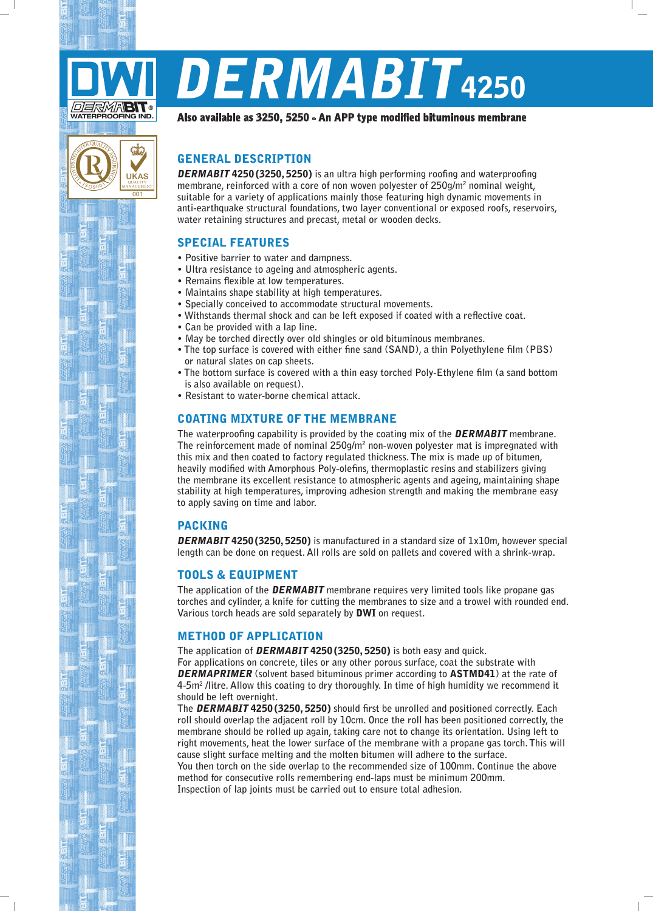

۸ 0 $\sqrt{\frac{20}{9}}$ 

 $\left( \begin{matrix} 0 \end{matrix} \right)$ 

 $\overline{00}$ 

UKAS QUALITY MANAGEMENT

ශ්

# DERMABIT<sub>4250</sub>

#### Also available as 3250, 5250 - An APP type modified bituminous membrane

## **GENERAL DESCRIPTION**

**DERMABIT 4250 (3250, 5250)** is an ultra high performing roofing and waterproofing membrane, reinforced with a core of non woven polyester of 250g/m<sup>2</sup> nominal weight, suitable for a variety of applications mainly those featuring high dynamic movements in anti-earthquake structural foundations, two layer conventional or exposed roofs, reservoirs, water retaining structures and precast, metal or wooden decks.

# **SPECIAL FEATURES**

- **.** Positive barrier to water and dampness.
- Ultra resistance to ageing and atmospheric agents.
- **Remains flexible at low temperatures.**
- Maintains shape stability at high temperatures.
- Specially conceived to accommodate structural movements.
- Withstands thermal shock and can be left exposed if coated with a reflective coat.
- Can be provided with a lap line.
- May be torched directly over old shingles or old bituminous membranes.
- The top surface is covered with either fine sand (SAND), a thin Polvethylene film (PBS) or natural slates on cap sheets.
- The bottom surface is covered with a thin easy torched Poly-Ethylene film (a sand bottom  $is also available on request$ ).
- Resistant to water-borne chemical attack.

## **COATING MIXTURE OF THE MEMBRANE**

The waterproofing capability is provided by the coating mix of the **DERMABIT** membrane. The reinforcement made of nominal 250g/m<sup>2</sup> non-woven polyester mat is impregnated with this mix and then coated to factory regulated thickness. The mix is made up of bitumen, **heavily modified with Amorphous Poly-olefins, thermoplastic resins and stabilizers giving** the membrane its excellent resistance to atmospheric agents and ageing, maintaining shape stability at high temperatures, improving adhesion strength and making the membrane easy to apply saving on time and labor.

#### PACKING

**DERMABIT 4250 (3250, 5250)** is manufactured in a standard size of 1x10m, however special length can be done on request. All rolls are sold on pallets and covered with a shrink-wrap.

#### **TOOLS & EQUIPMENT**

The application of the **DERMABIT** membrane requires very limited tools like propane gas torches and cylinder, a knife for cutting the membranes to size and a trowel with rounded end. Various torch heads are sold separately by **DWI** on request.

#### **METHOD OF APPLICATION**

The application of **DERMABIT 4250 (3250, 5250)** is both easy and quick.

For applications on concrete, tiles or any other porous surface, coat the substrate with **DERMAPRIMER** (solvent based bituminous primer according to **ASTMD41**) at the rate of 4-5m<sup>2</sup> /litre. Allow this coating to dry thoroughly. In time of high humidity we recommend it should be left overnight.

 **The DERMABIT 4250 (3250, 5250)** should first be unrolled and positioned correctly. Each roll should overlap the adiacent roll by 10cm. Once the roll has been positioned correctly, the membrane should be rolled up again, taking care not to change its orientation. Using left to right movements, heat the lower surface of the membrane with a propane gas torch. This will cause slight surface melting and the molten bitumen will adhere to the surface.

You then torch on the side overlap to the recommended size of 100mm. Continue the above method for consecutive rolls remembering end-laps must be minimum 200mm. Inspection of lap joints must be carried out to ensure total adhesion.